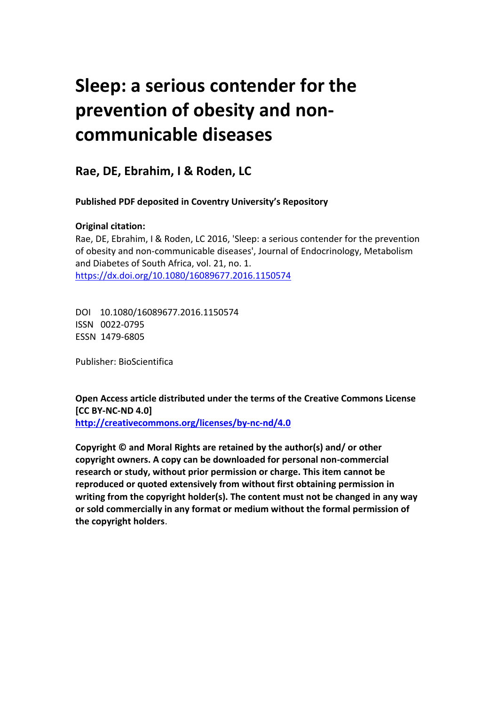# **Sleep: a serious contender for the prevention of obesity and noncommunicable diseases**

**Rae, DE, Ebrahim, I & Roden, LC**

**Published PDF deposited in Coventry University's Repository** 

### **Original citation:**

Rae, DE, Ebrahim, I & Roden, LC 2016, 'Sleep: a serious contender for the prevention of obesity and non-communicable diseases', Journal of Endocrinology, Metabolism and Diabetes of South Africa, vol. 21, no. 1. https://dx.doi.org/10.1080/16089677.2016.1150574

DOI 10.1080/16089677.2016.1150574 ISSN 0022-0795 ESSN 1479-6805

Publisher: BioScientifica

**Open Access article distributed under the terms of the Creative Commons License [CC BY-NC-ND 4.0] <http://creativecommons.org/licenses/by-nc-nd/4.0>**

**Copyright © and Moral Rights are retained by the author(s) and/ or other copyright owners. A copy can be downloaded for personal non-commercial research or study, without prior permission or charge. This item cannot be reproduced or quoted extensively from without first obtaining permission in writing from the copyright holder(s). The content must not be changed in any way or sold commercially in any format or medium without the formal permission of the copyright holders**.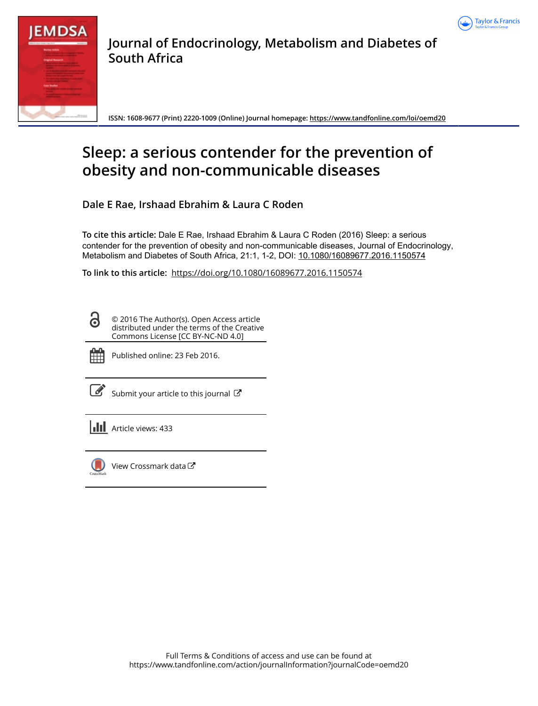



**Journal of Endocrinology, Metabolism and Diabetes of South Africa**

**ISSN: 1608-9677 (Print) 2220-1009 (Online) Journal homepage:<https://www.tandfonline.com/loi/oemd20>**

## **Sleep: a serious contender for the prevention of obesity and non-communicable diseases**

**Dale E Rae, Irshaad Ebrahim & Laura C Roden**

**To cite this article:** Dale E Rae, Irshaad Ebrahim & Laura C Roden (2016) Sleep: a serious contender for the prevention of obesity and non-communicable diseases, Journal of Endocrinology, Metabolism and Diabetes of South Africa, 21:1, 1-2, DOI: [10.1080/16089677.2016.1150574](https://www.tandfonline.com/action/showCitFormats?doi=10.1080/16089677.2016.1150574)

**To link to this article:** <https://doi.org/10.1080/16089677.2016.1150574>

© 2016 The Author(s). Open Access article distributed under the terms of the Creative Commons License [CC BY-NC-ND 4.0]



<u>යි</u>

Published online: 23 Feb 2016.

[Submit your article to this journal](https://www.tandfonline.com/action/authorSubmission?journalCode=oemd20&show=instructions)  $\mathbb{Z}$ 

**III** Article views: 433



[View Crossmark data](http://crossmark.crossref.org/dialog/?doi=10.1080/16089677.2016.1150574&domain=pdf&date_stamp=2016-02-23)<sup>で</sup>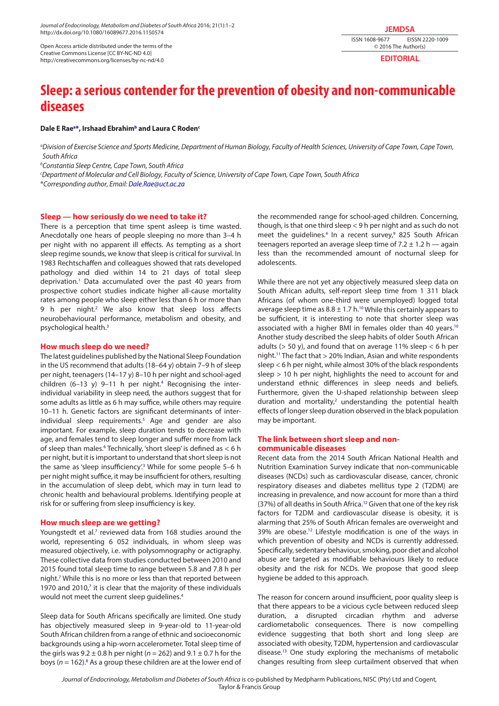*Journal of Endocrinology, Metabolism and Diabetes of South Africa* 2016; 21(1):1–2 http://dx.doi.org/10.1080/16089677.2016.1150574

Open Access article distributed under the terms of the Creative Commons License [CC BY-NC-ND 4.0] http://creativecommons.org/licenses/by-nc-nd/4.0

**JEMDSA** ISSN 1608-9677 EISSN 2220-1009

© 2016 The Author(s)

**EDITORIAL**

### **Sleep: a serious contender for the prevention of obesity and non-communicable diseases**

#### **Dale E Rae[a](#page-2-0) [\\*](#page-2-1), Irshaad Ebrahim[b](#page-2-2) and Laura C Rode[nc](#page-2-3)**

<span id="page-2-0"></span>*a Division of Exercise Science and Sports Medicine, Department of Human Biology, Faculty of Health Sciences, University of Cape Town, Cape Town, South Africa*

<span id="page-2-2"></span>*b Constantia Sleep Centre, Cape Town, South Africa*

<span id="page-2-3"></span>*c Department of Molecular and Cell Biology, Faculty of Science, University of Cape Town, Cape Town, South Africa*

<span id="page-2-1"></span>\**Corresponding author, Email: [Dale.Rae@uct.ac.za](mailto:Dale.Rae@uct.ac.za)*

#### **Sleep — how seriously do we need to take it?**

There is a perception that time spent asleep is time wasted. Anecdotally one hears of people sleeping no more than 3–4 h per night with no apparent ill effects. As tempting as a short sleep regime sounds, we know that sleep is critical for survival. In 1983 Rechtschaffen and colleagues showed that rats developed pathology and died within 14 to 21 days of total sleep deprivation[.1](#page-3-0) Data accumulated over the past 40 years from prospective cohort studies indicate higher all-cause mortality rates among people who sleep either less than 6 h or more than 9 h per night.<sup>[2](#page-3-1)</sup> We also know that sleep loss affects neurobehavioural performance, metabolism and obesity, and psychological health[.3](#page-3-2)

#### **How much sleep do we need?**

The latest guidelines published by the National Sleep Foundation in the US recommend that adults (18–64 y) obtain 7–9 h of sleep per night, teenagers (14–17 y) 8–10 h per night and school-aged children (6-13 y) 9-11 h per night.<sup>4</sup> Recognising the interindividual variability in sleep need, the authors suggest that for some adults as little as 6 h may suffice, while others may require 10–11 h. Genetic factors are significant determinants of interindividual sleep requirements.<sup>5</sup> Age and gender are also important. For example, sleep duration tends to decrease with age, and females tend to sleep longer and suffer more from lack of sleep than males.<sup>[6](#page-3-5)</sup> Technically, 'short sleep' is defined as < 6 h per night, but it is important to understand that short sleep is not the same as 'sleep insufficiency'.<sup>3</sup> While for some people 5–6 h per night might suffice, it may be insufficient for others, resulting in the accumulation of sleep debt, which may in turn lead to chronic health and behavioural problems. Identifying people at risk for or suffering from sleep insufficiency is key.

#### **How much sleep are we getting?**

Youngstedt et al.<sup>7</sup> reviewed data from 168 studies around the world, representing 6 052 individuals, in whom sleep was measured objectively, i.e. with polysomnography or actigraphy. These collective data from studies conducted between 2010 and 2015 found total sleep time to range between 5.8 and 7.8 h per night[.7](#page-3-6) While this is no more or less than that reported between 1970 and 2010,<sup>7</sup> it is clear that the majority of these individuals would not meet the current sleep guidelines[.4](#page-3-3)

Sleep data for South Africans specifically are limited. One study has objectively measured sleep in 9-year-old to 11-year-old South African children from a range of ethnic and socioeconomic backgrounds using a hip-worn accelerometer. Total sleep time of the girls was  $9.2 \pm 0.8$  h per night ( $n = 262$ ) and  $9.1 \pm 0.7$  h for the boys ( $n = 162$ ).<sup>[8](#page-3-7)</sup> As a group these children are at the lower end of the recommended range for school-aged children. Concerning, though, is that one third sleep < 9 h per night and as such do not meet the guidelines.<sup>[4](#page-3-3)</sup> In a recent survey,<sup>9</sup> 825 South African teenagers reported an average sleep time of  $7.2 \pm 1.2$  h — again less than the recommended amount of nocturnal sleep for adolescents.

While there are not yet any objectively measured sleep data on South African adults, self-report sleep time from 1 311 black Africans (of whom one-third were unemployed) logged total average sleep time as  $8.8 \pm 1.7$  h.<sup>10</sup> While this certainly appears to be sufficient, it is interesting to note that shorter sleep was associated with a higher BMI in females older than 40 years.<sup>[10](#page-3-9)</sup> Another study described the sleep habits of older South African adults ( $>$  50 y), and found that on average 11% sleep  $<$  6 h per night[.11](#page-3-10) The fact that > 20% Indian, Asian and white respondents sleep  $<$  6 h per night, while almost 30% of the black respondents sleep > 10 h per night, highlights the need to account for and understand ethnic differences in sleep needs and beliefs. Furthermore, given the U-shaped relationship between sleep duration and mortality, $2$  understanding the potential health effects of longer sleep duration observed in the black population may be important.

#### **The link between short sleep and noncommunicable diseases**

Recent data from the 2014 South African National Health and Nutrition Examination Survey indicate that non-communicable diseases (NCDs) such as cardiovascular disease, cancer, chronic respiratory diseases and diabetes mellitus type 2 (T2DM) are increasing in prevalence, and now account for more than a third (37%) of all deaths in South Africa.<sup>12</sup> Given that one of the key risk factors for T2DM and cardiovascular disease is obesity, it is alarming that 25% of South African females are overweight and 39% are obese[.12](#page-3-11) Lifestyle modification is one of the ways in which prevention of obesity and NCDs is currently addressed. Specifically, sedentary behaviour, smoking, poor diet and alcohol abuse are targeted as modifiable behaviours likely to reduce obesity and the risk for NCDs. We propose that good sleep hygiene be added to this approach.

The reason for concern around insufficient, poor quality sleep is that there appears to be a vicious cycle between reduced sleep duration, a disrupted circadian rhythm and adverse cardiometabolic consequences. There is now compelling evidence suggesting that both short and long sleep are associated with obesity, T2DM, hypertension and cardiovascular disease.[13](#page-3-12) One study exploring the mechanisms of metabolic changes resulting from sleep curtailment observed that when